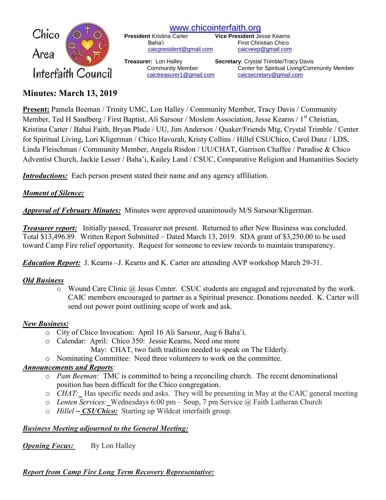

[www.chicointerfaith.org](file:///C:/Users/CSL/Downloads/www.chicointerfaith.org)<br>President Kristina Carter Vice President Je [caicpresident@gmail.com](mailto:caicpresident@gmail.com)

**Vice President Jesse Kearns** Baha'i First Christian Chico<br>
<u>Caicpresident@gmail.com</u> caicveep@gmail.com

**Treasurer:** Lon Halley **Secretary**: Crystal Trimble/Tracy Davis Community Member Center for Spiritual Living/Community Member [caictreasurer1@gmail.com](mailto:caictreasurer1@gmail.com) [caicsecretary@gmail.com](mailto:caicsecretary@gmail.com)

# **Minutes: March 13, 2019**

**Present:** Pamela Beeman / Trinity UMC, Lon Halley / Community Member, Tracy Davis / Community Member, Ted H Sandberg / First Baptist, Ali Sarsour / Moslem Association, Jesse Kearns / 1<sup>st</sup> Christian, Kristina Carter / Bahai Faith, Bryan Plude / UU, Jim Anderson / Quaker/Friends Mtg, Crystal Trimble / Center for Spiritual Living, Lori Kligerman / Chico Havurah, Kristy Collins / Hillel CSUChico, Carol Danz / LDS, Linda Fleischman / Community Member, Angela Risdon / UU/CHAT, Garrison Chaffee / Paradise & Chico Adventist Church, Jackie Lesser / Baha'i, Kailey Land / CSUC, Comparative Religion and Humanities Society

*Introductions:* Each person present stated their name and any agency affiliation.

### *Moment of Silence:*

*Approval of February Minutes:*Minutes were approved unanimously M/S Sarsour/Kligerman.

*Treasurer report:* Initially passed, Treasurer not present. Returned to after New Business was concluded. Total \$13,496.89. Written Report Submitted – Dated March 13, 2019. SDA grant of \$3,250.00 to be used toward Camp Fire relief opportunity. Request for someone to review records to maintain transparency.

*Education Report:* J. Kearns –J. Kearns and K. Carter are attending AVP workshop March 29-31.

### *Old Business*

o Wound Care Clinic @ Jesus Center. CSUC students are engaged and rejuvenated by the work. CAIC members encouraged to partner as a Spiritual presence. Donations needed. K. Carter will send out power point outlining scope of work and ask.

### *New Business:*

- o City of Chico Invocation: April 16 Ali Sarsour, Aug 6 Baha'i.
- o Calendar: April: Chico 350: Jessie Kearns, Need one more
	- May: CHAT, two faith tradition needed to speak on The Elderly.
- o Nominating Committee: Need three volunteers to work on the committee.

### *Announcements and Reports:*

- o *Pam Beeman:* TMC is committed to being a reconciling church. The recent denominational position has been difficult for the Chico congregation.
- o *CHAT:* Has specific needs and asks. They will be presenting in May at the CAIC general meeting
- o *Lenten Services:* Wednesdays 6:00 pm Soup, 7 pm Service @ Faith Lutheran Church
- o *Hillel – CSUChico:* Starting up Wildcat interfaith group.

## *Business Meeting adjourned to the General Meeting:*

*Opening Focus:* By Lon Halley

## *Report from Camp Fire Long Term Recovery Representative:*